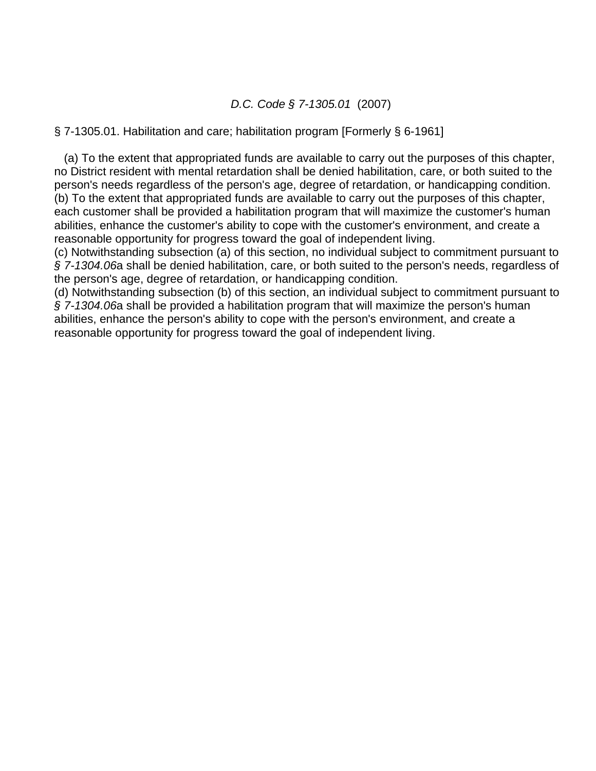## *D.C. Code § 7-1305.01* (2007)

### § 7-1305.01. Habilitation and care; habilitation program [Formerly § 6-1961]

 (a) To the extent that appropriated funds are available to carry out the purposes of this chapter, no District resident with mental retardation shall be denied habilitation, care, or both suited to the person's needs regardless of the person's age, degree of retardation, or handicapping condition. (b) To the extent that appropriated funds are available to carry out the purposes of this chapter, each customer shall be provided a habilitation program that will maximize the customer's human abilities, enhance the customer's ability to cope with the customer's environment, and create a reasonable opportunity for progress toward the goal of independent living.

(c) Notwithstanding subsection (a) of this section, no individual subject to commitment pursuant to *§ 7-1304.06*a shall be denied habilitation, care, or both suited to the person's needs, regardless of the person's age, degree of retardation, or handicapping condition.

(d) Notwithstanding subsection (b) of this section, an individual subject to commitment pursuant to *§ 7-1304.06*a shall be provided a habilitation program that will maximize the person's human abilities, enhance the person's ability to cope with the person's environment, and create a reasonable opportunity for progress toward the goal of independent living.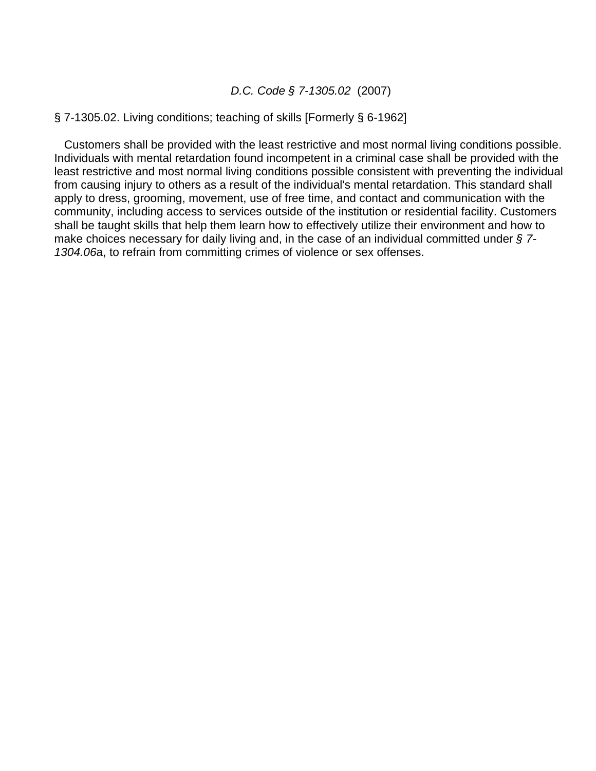### *D.C. Code § 7-1305.02* (2007)

### § 7-1305.02. Living conditions; teaching of skills [Formerly § 6-1962]

 Customers shall be provided with the least restrictive and most normal living conditions possible. Individuals with mental retardation found incompetent in a criminal case shall be provided with the least restrictive and most normal living conditions possible consistent with preventing the individual from causing injury to others as a result of the individual's mental retardation. This standard shall apply to dress, grooming, movement, use of free time, and contact and communication with the community, including access to services outside of the institution or residential facility. Customers shall be taught skills that help them learn how to effectively utilize their environment and how to make choices necessary for daily living and, in the case of an individual committed under *§ 7- 1304.06*a, to refrain from committing crimes of violence or sex offenses.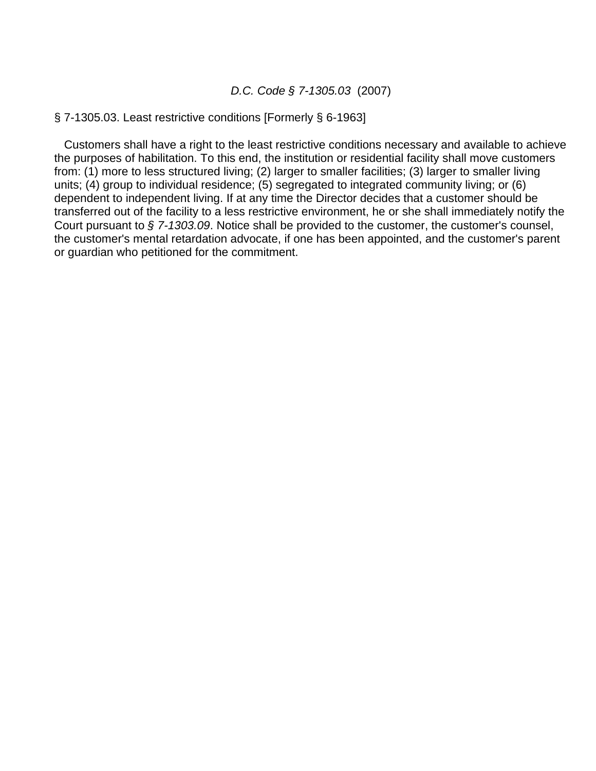### *D.C. Code § 7-1305.03* (2007)

#### § 7-1305.03. Least restrictive conditions [Formerly § 6-1963]

 Customers shall have a right to the least restrictive conditions necessary and available to achieve the purposes of habilitation. To this end, the institution or residential facility shall move customers from: (1) more to less structured living; (2) larger to smaller facilities; (3) larger to smaller living units; (4) group to individual residence; (5) segregated to integrated community living; or (6) dependent to independent living. If at any time the Director decides that a customer should be transferred out of the facility to a less restrictive environment, he or she shall immediately notify the Court pursuant to *§ 7-1303.09*. Notice shall be provided to the customer, the customer's counsel, the customer's mental retardation advocate, if one has been appointed, and the customer's parent or guardian who petitioned for the commitment.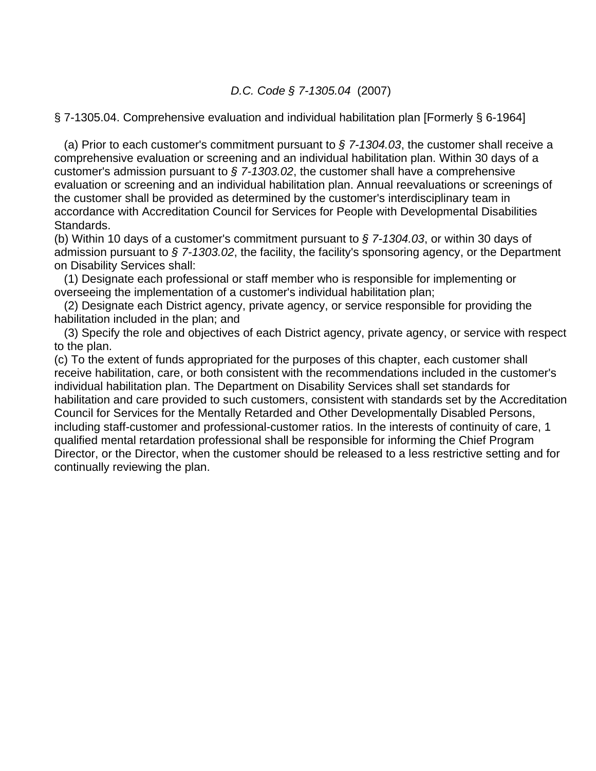## *D.C. Code § 7-1305.04* (2007)

§ 7-1305.04. Comprehensive evaluation and individual habilitation plan [Formerly § 6-1964]

 (a) Prior to each customer's commitment pursuant to *§ 7-1304.03*, the customer shall receive a comprehensive evaluation or screening and an individual habilitation plan. Within 30 days of a customer's admission pursuant to *§ 7-1303.02*, the customer shall have a comprehensive evaluation or screening and an individual habilitation plan. Annual reevaluations or screenings of the customer shall be provided as determined by the customer's interdisciplinary team in accordance with Accreditation Council for Services for People with Developmental Disabilities Standards.

(b) Within 10 days of a customer's commitment pursuant to *§ 7-1304.03*, or within 30 days of admission pursuant to *§ 7-1303.02*, the facility, the facility's sponsoring agency, or the Department on Disability Services shall:

 (1) Designate each professional or staff member who is responsible for implementing or overseeing the implementation of a customer's individual habilitation plan;

 (2) Designate each District agency, private agency, or service responsible for providing the habilitation included in the plan; and

 (3) Specify the role and objectives of each District agency, private agency, or service with respect to the plan.

(c) To the extent of funds appropriated for the purposes of this chapter, each customer shall receive habilitation, care, or both consistent with the recommendations included in the customer's individual habilitation plan. The Department on Disability Services shall set standards for habilitation and care provided to such customers, consistent with standards set by the Accreditation Council for Services for the Mentally Retarded and Other Developmentally Disabled Persons, including staff-customer and professional-customer ratios. In the interests of continuity of care, 1 qualified mental retardation professional shall be responsible for informing the Chief Program Director, or the Director, when the customer should be released to a less restrictive setting and for continually reviewing the plan.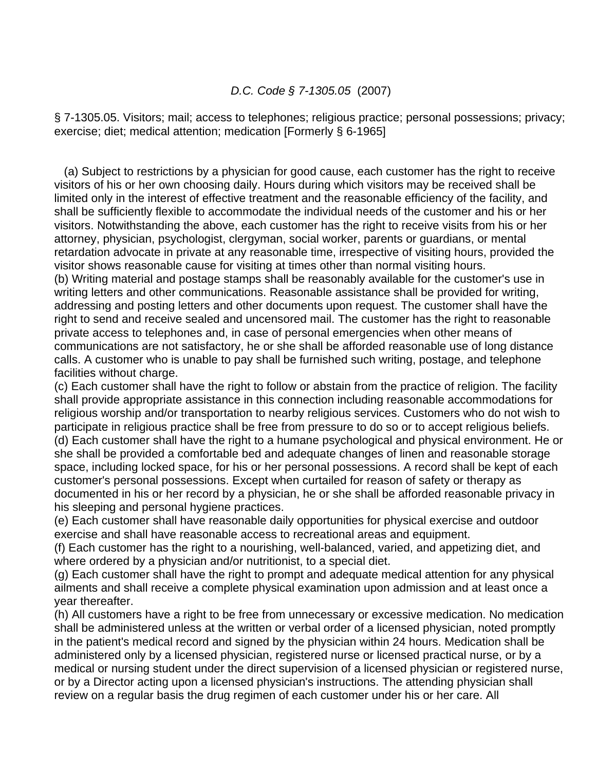## *D.C. Code § 7-1305.05* (2007)

§ 7-1305.05. Visitors; mail; access to telephones; religious practice; personal possessions; privacy; exercise; diet; medical attention; medication [Formerly § 6-1965]

 (a) Subject to restrictions by a physician for good cause, each customer has the right to receive visitors of his or her own choosing daily. Hours during which visitors may be received shall be limited only in the interest of effective treatment and the reasonable efficiency of the facility, and shall be sufficiently flexible to accommodate the individual needs of the customer and his or her visitors. Notwithstanding the above, each customer has the right to receive visits from his or her attorney, physician, psychologist, clergyman, social worker, parents or guardians, or mental retardation advocate in private at any reasonable time, irrespective of visiting hours, provided the visitor shows reasonable cause for visiting at times other than normal visiting hours.

(b) Writing material and postage stamps shall be reasonably available for the customer's use in writing letters and other communications. Reasonable assistance shall be provided for writing, addressing and posting letters and other documents upon request. The customer shall have the right to send and receive sealed and uncensored mail. The customer has the right to reasonable private access to telephones and, in case of personal emergencies when other means of communications are not satisfactory, he or she shall be afforded reasonable use of long distance calls. A customer who is unable to pay shall be furnished such writing, postage, and telephone facilities without charge.

(c) Each customer shall have the right to follow or abstain from the practice of religion. The facility shall provide appropriate assistance in this connection including reasonable accommodations for religious worship and/or transportation to nearby religious services. Customers who do not wish to participate in religious practice shall be free from pressure to do so or to accept religious beliefs. (d) Each customer shall have the right to a humane psychological and physical environment. He or she shall be provided a comfortable bed and adequate changes of linen and reasonable storage space, including locked space, for his or her personal possessions. A record shall be kept of each customer's personal possessions. Except when curtailed for reason of safety or therapy as documented in his or her record by a physician, he or she shall be afforded reasonable privacy in his sleeping and personal hygiene practices.

(e) Each customer shall have reasonable daily opportunities for physical exercise and outdoor exercise and shall have reasonable access to recreational areas and equipment.

(f) Each customer has the right to a nourishing, well-balanced, varied, and appetizing diet, and where ordered by a physician and/or nutritionist, to a special diet.

(g) Each customer shall have the right to prompt and adequate medical attention for any physical ailments and shall receive a complete physical examination upon admission and at least once a year thereafter.

(h) All customers have a right to be free from unnecessary or excessive medication. No medication shall be administered unless at the written or verbal order of a licensed physician, noted promptly in the patient's medical record and signed by the physician within 24 hours. Medication shall be administered only by a licensed physician, registered nurse or licensed practical nurse, or by a medical or nursing student under the direct supervision of a licensed physician or registered nurse, or by a Director acting upon a licensed physician's instructions. The attending physician shall review on a regular basis the drug regimen of each customer under his or her care. All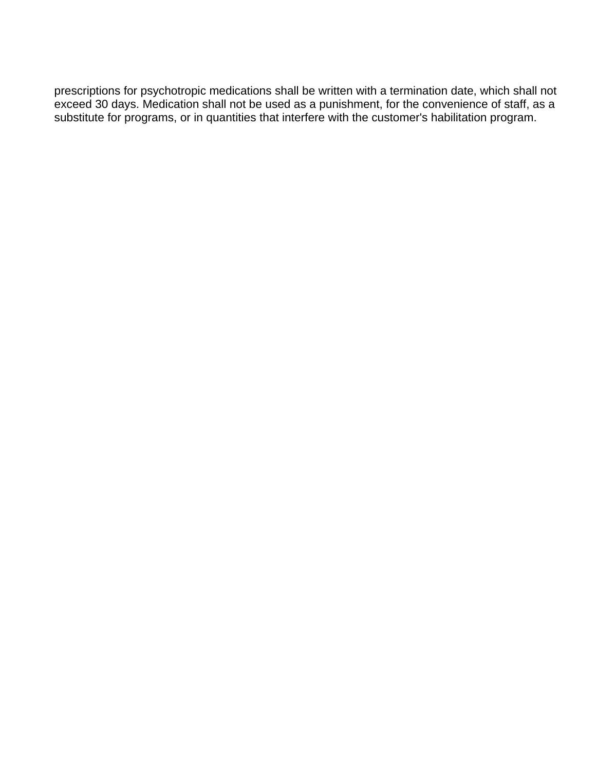prescriptions for psychotropic medications shall be written with a termination date, which shall not exceed 30 days. Medication shall not be used as a punishment, for the convenience of staff, as a substitute for programs, or in quantities that interfere with the customer's habilitation program.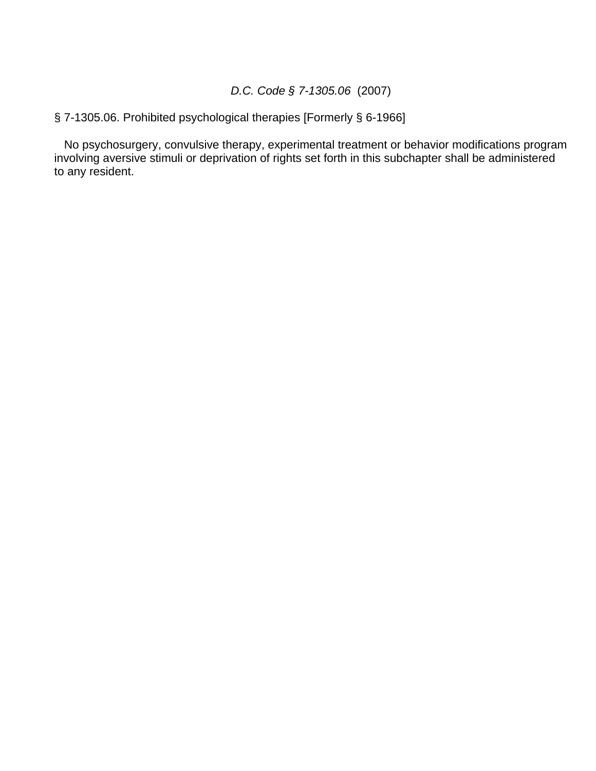## *D.C. Code § 7-1305.06* (2007)

# § 7-1305.06. Prohibited psychological therapies [Formerly § 6-1966]

 No psychosurgery, convulsive therapy, experimental treatment or behavior modifications program involving aversive stimuli or deprivation of rights set forth in this subchapter shall be administered to any resident.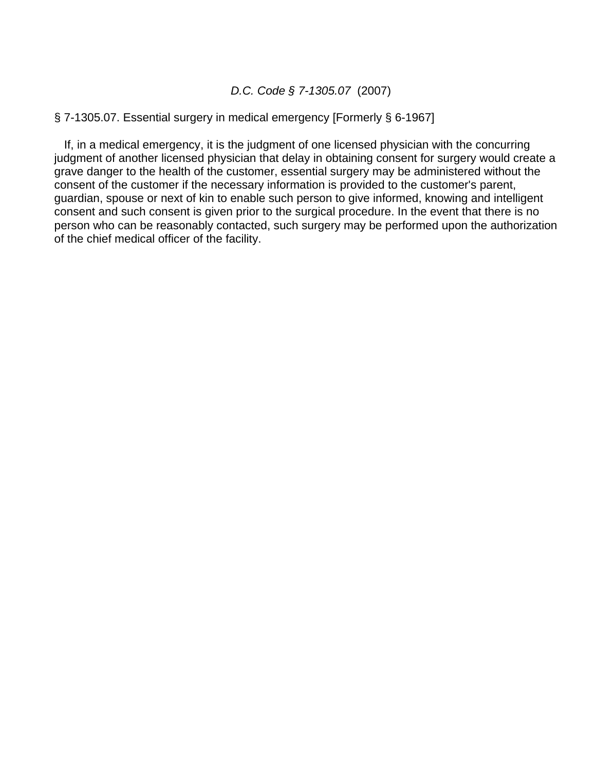## *D.C. Code § 7-1305.07* (2007)

#### § 7-1305.07. Essential surgery in medical emergency [Formerly § 6-1967]

 If, in a medical emergency, it is the judgment of one licensed physician with the concurring judgment of another licensed physician that delay in obtaining consent for surgery would create a grave danger to the health of the customer, essential surgery may be administered without the consent of the customer if the necessary information is provided to the customer's parent, guardian, spouse or next of kin to enable such person to give informed, knowing and intelligent consent and such consent is given prior to the surgical procedure. In the event that there is no person who can be reasonably contacted, such surgery may be performed upon the authorization of the chief medical officer of the facility.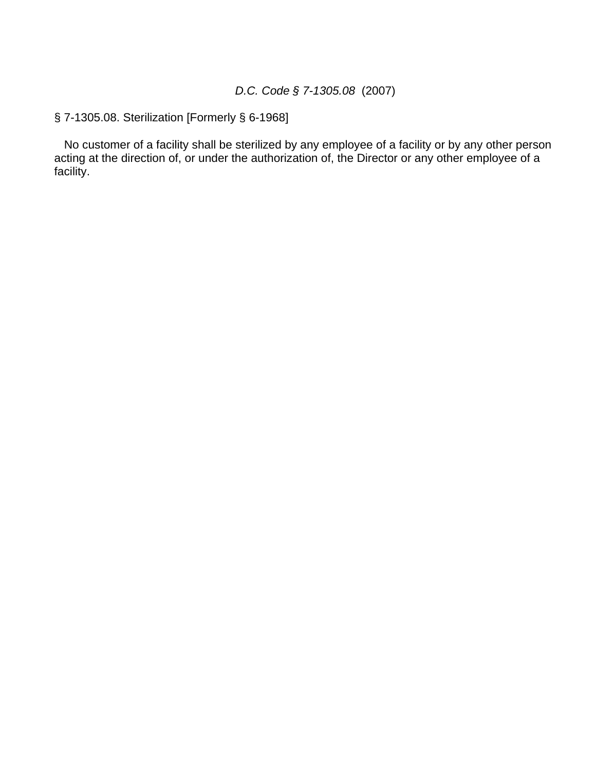# *D.C. Code § 7-1305.08* (2007)

§ 7-1305.08. Sterilization [Formerly § 6-1968]

 No customer of a facility shall be sterilized by any employee of a facility or by any other person acting at the direction of, or under the authorization of, the Director or any other employee of a facility.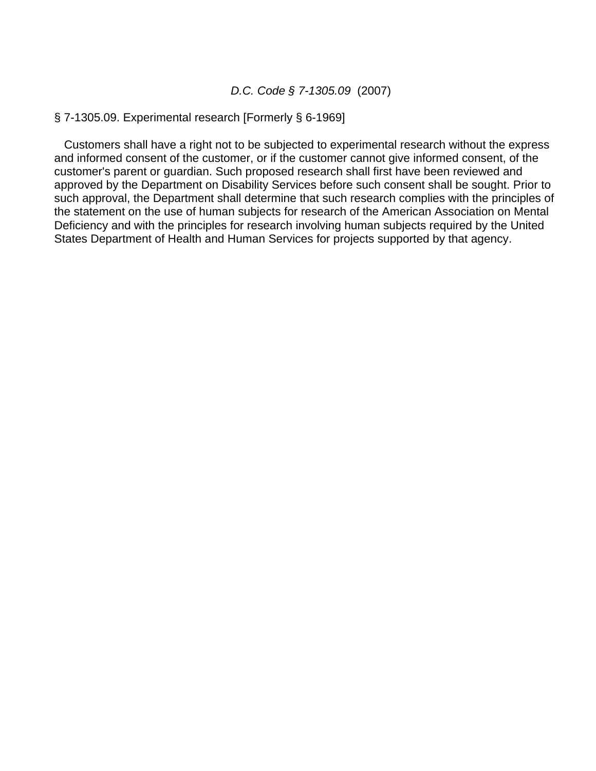### *D.C. Code § 7-1305.09* (2007)

### § 7-1305.09. Experimental research [Formerly § 6-1969]

 Customers shall have a right not to be subjected to experimental research without the express and informed consent of the customer, or if the customer cannot give informed consent, of the customer's parent or guardian. Such proposed research shall first have been reviewed and approved by the Department on Disability Services before such consent shall be sought. Prior to such approval, the Department shall determine that such research complies with the principles of the statement on the use of human subjects for research of the American Association on Mental Deficiency and with the principles for research involving human subjects required by the United States Department of Health and Human Services for projects supported by that agency.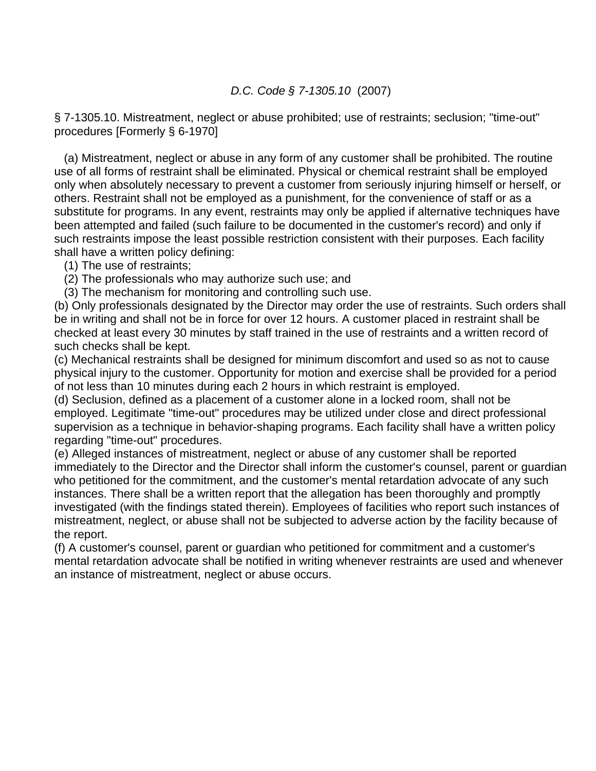## *D.C. Code § 7-1305.10* (2007)

§ 7-1305.10. Mistreatment, neglect or abuse prohibited; use of restraints; seclusion; "time-out" procedures [Formerly § 6-1970]

 (a) Mistreatment, neglect or abuse in any form of any customer shall be prohibited. The routine use of all forms of restraint shall be eliminated. Physical or chemical restraint shall be employed only when absolutely necessary to prevent a customer from seriously injuring himself or herself, or others. Restraint shall not be employed as a punishment, for the convenience of staff or as a substitute for programs. In any event, restraints may only be applied if alternative techniques have been attempted and failed (such failure to be documented in the customer's record) and only if such restraints impose the least possible restriction consistent with their purposes. Each facility shall have a written policy defining:

(1) The use of restraints;

- (2) The professionals who may authorize such use; and
- (3) The mechanism for monitoring and controlling such use.

(b) Only professionals designated by the Director may order the use of restraints. Such orders shall be in writing and shall not be in force for over 12 hours. A customer placed in restraint shall be checked at least every 30 minutes by staff trained in the use of restraints and a written record of such checks shall be kept.

(c) Mechanical restraints shall be designed for minimum discomfort and used so as not to cause physical injury to the customer. Opportunity for motion and exercise shall be provided for a period of not less than 10 minutes during each 2 hours in which restraint is employed.

(d) Seclusion, defined as a placement of a customer alone in a locked room, shall not be employed. Legitimate "time-out" procedures may be utilized under close and direct professional supervision as a technique in behavior-shaping programs. Each facility shall have a written policy regarding "time-out" procedures.

(e) Alleged instances of mistreatment, neglect or abuse of any customer shall be reported immediately to the Director and the Director shall inform the customer's counsel, parent or guardian who petitioned for the commitment, and the customer's mental retardation advocate of any such instances. There shall be a written report that the allegation has been thoroughly and promptly investigated (with the findings stated therein). Employees of facilities who report such instances of mistreatment, neglect, or abuse shall not be subjected to adverse action by the facility because of the report.

(f) A customer's counsel, parent or guardian who petitioned for commitment and a customer's mental retardation advocate shall be notified in writing whenever restraints are used and whenever an instance of mistreatment, neglect or abuse occurs.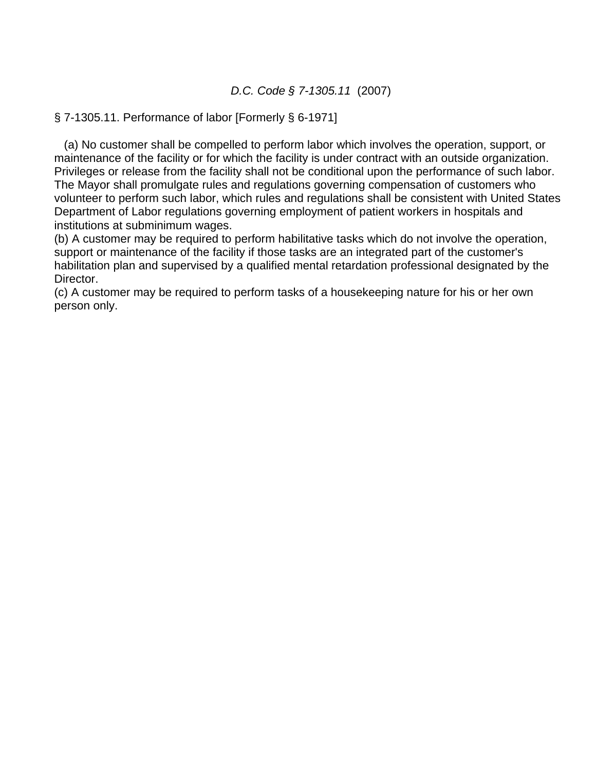# *D.C. Code § 7-1305.11* (2007)

## § 7-1305.11. Performance of labor [Formerly § 6-1971]

 (a) No customer shall be compelled to perform labor which involves the operation, support, or maintenance of the facility or for which the facility is under contract with an outside organization. Privileges or release from the facility shall not be conditional upon the performance of such labor. The Mayor shall promulgate rules and regulations governing compensation of customers who volunteer to perform such labor, which rules and regulations shall be consistent with United States Department of Labor regulations governing employment of patient workers in hospitals and institutions at subminimum wages.

(b) A customer may be required to perform habilitative tasks which do not involve the operation, support or maintenance of the facility if those tasks are an integrated part of the customer's habilitation plan and supervised by a qualified mental retardation professional designated by the Director.

(c) A customer may be required to perform tasks of a housekeeping nature for his or her own person only.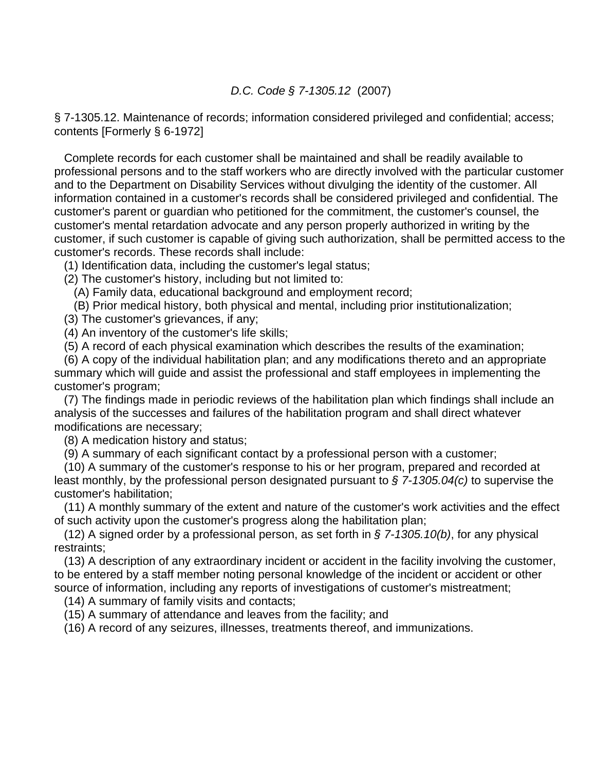## *D.C. Code § 7-1305.12* (2007)

§ 7-1305.12. Maintenance of records; information considered privileged and confidential; access; contents [Formerly § 6-1972]

 Complete records for each customer shall be maintained and shall be readily available to professional persons and to the staff workers who are directly involved with the particular customer and to the Department on Disability Services without divulging the identity of the customer. All information contained in a customer's records shall be considered privileged and confidential. The customer's parent or guardian who petitioned for the commitment, the customer's counsel, the customer's mental retardation advocate and any person properly authorized in writing by the customer, if such customer is capable of giving such authorization, shall be permitted access to the customer's records. These records shall include:

(1) Identification data, including the customer's legal status;

(2) The customer's history, including but not limited to:

(A) Family data, educational background and employment record;

(B) Prior medical history, both physical and mental, including prior institutionalization;

(3) The customer's grievances, if any;

(4) An inventory of the customer's life skills;

(5) A record of each physical examination which describes the results of the examination;

 (6) A copy of the individual habilitation plan; and any modifications thereto and an appropriate summary which will guide and assist the professional and staff employees in implementing the customer's program;

 (7) The findings made in periodic reviews of the habilitation plan which findings shall include an analysis of the successes and failures of the habilitation program and shall direct whatever modifications are necessary;

(8) A medication history and status;

(9) A summary of each significant contact by a professional person with a customer;

 (10) A summary of the customer's response to his or her program, prepared and recorded at least monthly, by the professional person designated pursuant to *§ 7-1305.04(c)* to supervise the customer's habilitation;

 (11) A monthly summary of the extent and nature of the customer's work activities and the effect of such activity upon the customer's progress along the habilitation plan;

 (12) A signed order by a professional person, as set forth in *§ 7-1305.10(b)*, for any physical restraints;

 (13) A description of any extraordinary incident or accident in the facility involving the customer, to be entered by a staff member noting personal knowledge of the incident or accident or other source of information, including any reports of investigations of customer's mistreatment;

(14) A summary of family visits and contacts;

(15) A summary of attendance and leaves from the facility; and

(16) A record of any seizures, illnesses, treatments thereof, and immunizations.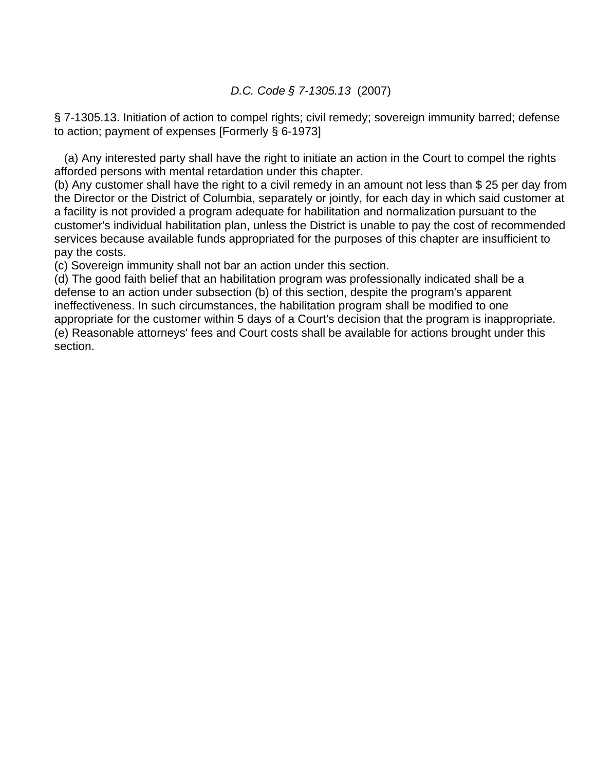*D.C. Code § 7-1305.13* (2007)

§ 7-1305.13. Initiation of action to compel rights; civil remedy; sovereign immunity barred; defense to action; payment of expenses [Formerly § 6-1973]

 (a) Any interested party shall have the right to initiate an action in the Court to compel the rights afforded persons with mental retardation under this chapter.

(b) Any customer shall have the right to a civil remedy in an amount not less than \$ 25 per day from the Director or the District of Columbia, separately or jointly, for each day in which said customer at a facility is not provided a program adequate for habilitation and normalization pursuant to the customer's individual habilitation plan, unless the District is unable to pay the cost of recommended services because available funds appropriated for the purposes of this chapter are insufficient to pay the costs.

(c) Sovereign immunity shall not bar an action under this section.

(d) The good faith belief that an habilitation program was professionally indicated shall be a defense to an action under subsection (b) of this section, despite the program's apparent ineffectiveness. In such circumstances, the habilitation program shall be modified to one appropriate for the customer within 5 days of a Court's decision that the program is inappropriate. (e) Reasonable attorneys' fees and Court costs shall be available for actions brought under this section.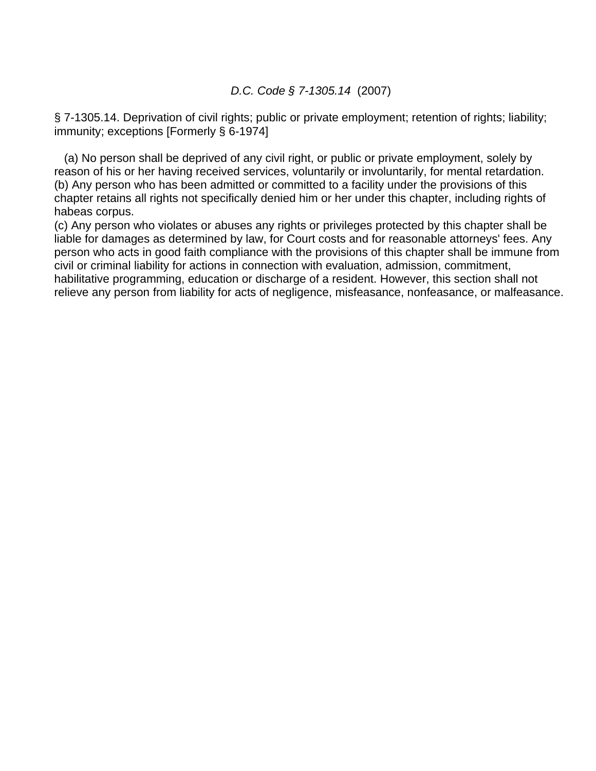### *D.C. Code § 7-1305.14* (2007)

§ 7-1305.14. Deprivation of civil rights; public or private employment; retention of rights; liability; immunity; exceptions [Formerly § 6-1974]

 (a) No person shall be deprived of any civil right, or public or private employment, solely by reason of his or her having received services, voluntarily or involuntarily, for mental retardation. (b) Any person who has been admitted or committed to a facility under the provisions of this chapter retains all rights not specifically denied him or her under this chapter, including rights of habeas corpus.

(c) Any person who violates or abuses any rights or privileges protected by this chapter shall be liable for damages as determined by law, for Court costs and for reasonable attorneys' fees. Any person who acts in good faith compliance with the provisions of this chapter shall be immune from civil or criminal liability for actions in connection with evaluation, admission, commitment, habilitative programming, education or discharge of a resident. However, this section shall not relieve any person from liability for acts of negligence, misfeasance, nonfeasance, or malfeasance.